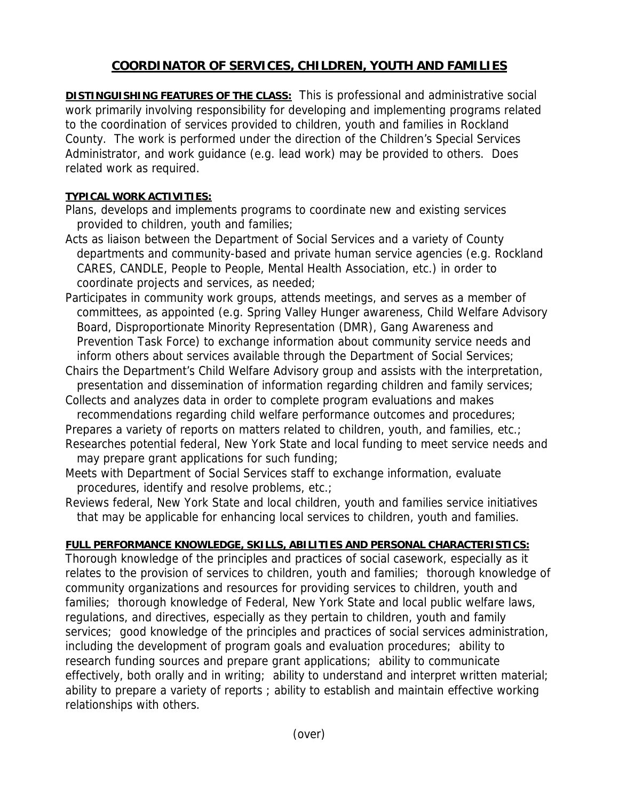## **COORDINATOR OF SERVICES, CHILDREN, YOUTH AND FAMILIES**

**DISTINGUISHING FEATURES OF THE CLASS:** This is professional and administrative social work primarily involving responsibility for developing and implementing programs related to the coordination of services provided to children, youth and families in Rockland County. The work is performed under the direction of the Children's Special Services Administrator, and work guidance (e.g. lead work) may be provided to others. Does related work as required.

## **TYPICAL WORK ACTIVITIES:**

- Plans, develops and implements programs to coordinate new and existing services provided to children, youth and families;
- Acts as liaison between the Department of Social Services and a variety of County departments and community-based and private human service agencies (e.g. Rockland CARES, CANDLE, People to People, Mental Health Association, etc.) in order to coordinate projects and services, as needed;
- Participates in community work groups, attends meetings, and serves as a member of committees, as appointed (e.g. Spring Valley Hunger awareness, Child Welfare Advisory Board, Disproportionate Minority Representation (DMR), Gang Awareness and Prevention Task Force) to exchange information about community service needs and inform others about services available through the Department of Social Services;
- Chairs the Department's Child Welfare Advisory group and assists with the interpretation, presentation and dissemination of information regarding children and family services;
- Collects and analyzes data in order to complete program evaluations and makes recommendations regarding child welfare performance outcomes and procedures;
- Prepares a variety of reports on matters related to children, youth, and families, etc.;
- Researches potential federal, New York State and local funding to meet service needs and may prepare grant applications for such funding;
- Meets with Department of Social Services staff to exchange information, evaluate procedures, identify and resolve problems, etc.;
- Reviews federal, New York State and local children, youth and families service initiatives that may be applicable for enhancing local services to children, youth and families.

## **FULL PERFORMANCE KNOWLEDGE, SKILLS, ABILITIES AND PERSONAL CHARACTERISTICS:**

Thorough knowledge of the principles and practices of social casework, especially as it relates to the provision of services to children, youth and families; thorough knowledge of community organizations and resources for providing services to children, youth and families; thorough knowledge of Federal, New York State and local public welfare laws, regulations, and directives, especially as they pertain to children, youth and family services; good knowledge of the principles and practices of social services administration, including the development of program goals and evaluation procedures; ability to research funding sources and prepare grant applications; ability to communicate effectively, both orally and in writing; ability to understand and interpret written material; ability to prepare a variety of reports ; ability to establish and maintain effective working relationships with others.